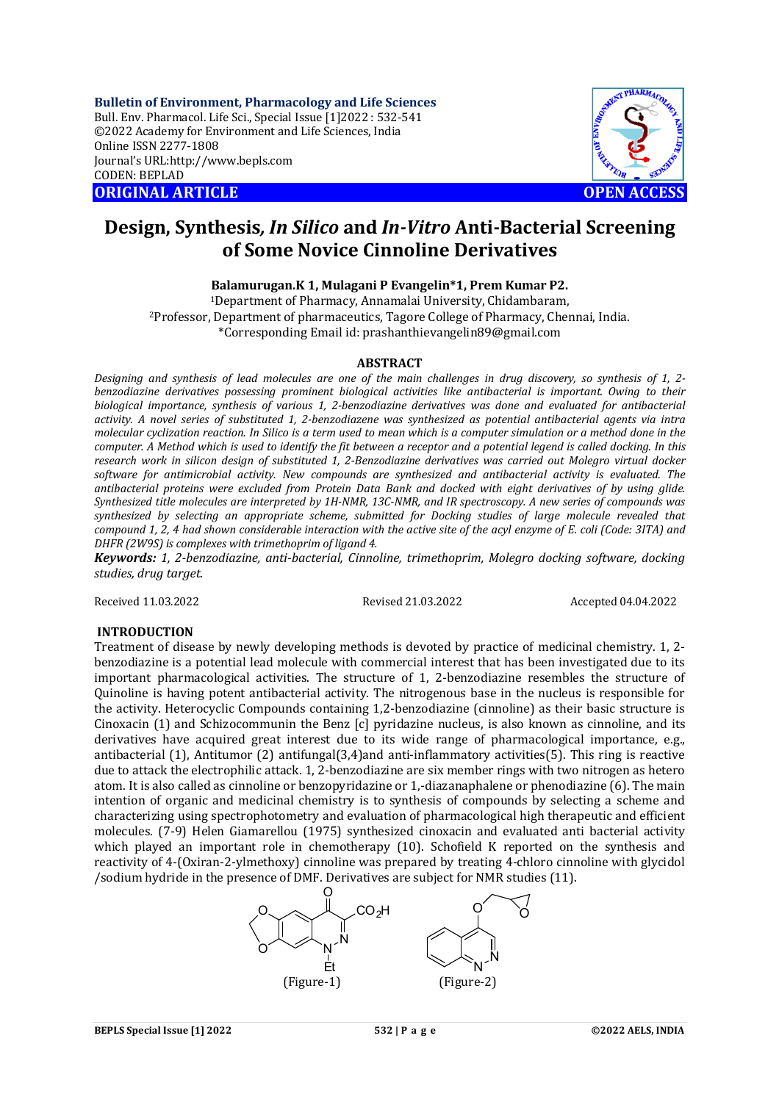**Bulletin of Environment, Pharmacology and Life Sciences** Bull. Env. Pharmacol. Life Sci., Special Issue [1]2022 : 532-541 ©2022 Academy for Environment and Life Sciences, India Online ISSN 2277-1808 Journal's URL:<http://www.bepls.com> CODEN: BEPLAD **ORIGINAL ARTICLE OPEN ACCESS** 



# **Design, Synthesis***, In Silico* **and** *In-Vitro* **Anti-Bacterial Screening of Some Novice Cinnoline Derivatives**

**Balamurugan.K 1, Mulagani P Evangelin\*1, Prem Kumar P2.**

<sup>1</sup>Department of Pharmacy, Annamalai University, Chidambaram, <sup>2</sup>Professor, Department of pharmaceutics, Tagore College of Pharmacy, Chennai, India. \*Corresponding Email id: [prashanthievangelin89@gmail.com](mailto:prashanthievangelin89@gmail.com)

#### **ABSTRACT**

*Designing and synthesis of lead molecules are one of the main challenges in drug discovery, so synthesis of 1, 2 benzodiazine derivatives possessing prominent biological activities like antibacterial is important. Owing to their biological importance, synthesis of various 1, 2-benzodiazine derivatives was done and evaluated for antibacterial activity. A novel series of substituted 1, 2-benzodiazene was synthesized as potential antibacterial agents via intra molecular cyclization reaction. In Silico is a term used to mean which is a computer simulation or a method done in the computer. A Method which is used to identify the fit between a receptor and a potential legend is called docking. In this research work in silicon design of substituted 1, 2-Benzodiazine derivatives was carried out Molegro virtual docker software for antimicrobial activity. New compounds are synthesized and antibacterial activity is evaluated. The antibacterial proteins were excluded from Protein Data Bank and docked with eight derivatives of by using glide. Synthesized title molecules are interpreted by 1H-NMR, 13C-NMR, and IR spectroscopy. A new series of compounds was synthesized by selecting an appropriate scheme, submitted for Docking studies of large molecule revealed that compound 1, 2, 4 had shown considerable interaction with the active site of the acyl enzyme of E. coli (Code: 3ITA) and DHFR (2W9S) is complexes with trimethoprim of ligand 4.*

*Keywords: 1, 2-benzodiazine, anti-bacterial, Cinnoline, trimethoprim, Molegro docking software, docking studies, drug target.*

Received 11.03.2022 Revised 21.03.2022 Accepted 04.04.2022

#### **INTRODUCTION**

Treatment of disease by newly developing methods is devoted by practice of medicinal chemistry. 1, 2 benzodiazine is a potential lead molecule with commercial interest that has been investigated due to its important pharmacological activities. The structure of 1, 2-benzodiazine resembles the structure of Quinoline is having potent antibacterial activity. The nitrogenous base in the nucleus is responsible for the activity. Heterocyclic Compounds containing 1,2-benzodiazine (cinnoline) as their basic structure is Cinoxacin (1) and Schizocommunin the Benz [c] pyridazine nucleus, is also known as cinnoline, and its derivatives have acquired great interest due to its wide range of pharmacological importance, e.g., antibacterial (1), Antitumor (2) antifungal(3,4)and anti-inflammatory activities(5). This ring is reactive due to attack the electrophilic attack. 1, 2-benzodiazine are six member rings with two nitrogen as hetero atom. It is also called as cinnoline or benzopyridazine or 1,-diazanaphalene or phenodiazine (6). The main intention of organic and medicinal chemistry is to synthesis of compounds by selecting a scheme and characterizing using spectrophotometry and evaluation of pharmacological high therapeutic and efficient molecules. (7-9) Helen Giamarellou (1975) synthesized cinoxacin and evaluated anti bacterial activity which played an important role in chemotherapy (10). Schofield K reported on the synthesis and reactivity of 4-(Oxiran-2-ylmethoxy) cinnoline was prepared by treating 4-chloro cinnoline with glycidol /sodium hydride in the presence of DMF. Derivatives are subject for NMR studies (11).

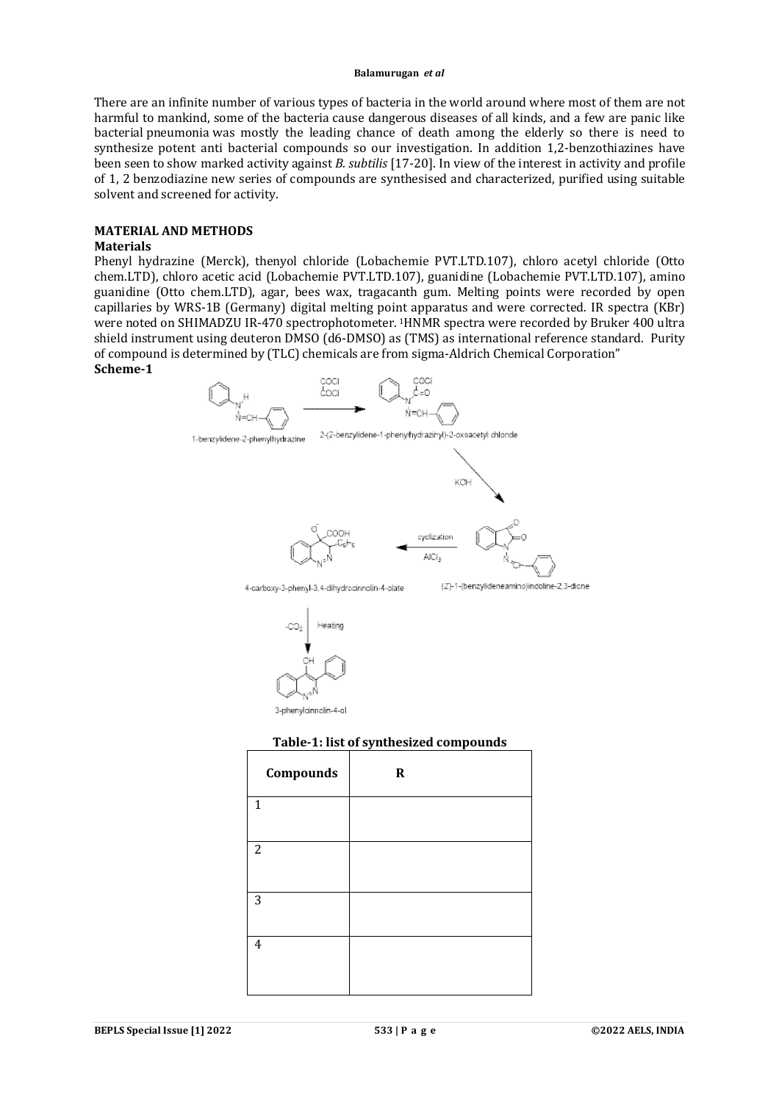There are an infinite number of various types of bacteria in the world around where most of them are not harmful to mankind, some of the bacteria cause dangerous diseases of all kinds, and a few are panic like bacterial pneumonia was mostly the leading chance of death among the elderly so there is need to synthesize potent anti bacterial compounds so our investigation. In addition 1,2-benzothiazines have been seen to show marked activity against *B. subtilis* [17-20]. In view of the interest in activity and profile of 1, 2 benzodiazine new series of compounds are synthesised and characterized, purified using suitable solvent and screened for activity.

#### **MATERIAL AND METHODS**

#### **Materials**

Phenyl hydrazine (Merck), thenyol chloride (Lobachemie PVT.LTD.107), chloro acetyl chloride (Otto chem.LTD), chloro acetic acid (Lobachemie PVT.LTD.107), guanidine (Lobachemie PVT.LTD.107), amino guanidine (Otto chem.LTD), agar, bees wax, tragacanth gum. Melting points were recorded by open capillaries by WRS-1B (Germany) digital melting point apparatus and were corrected. IR spectra (KBr) were noted on SHIMADZU IR-470 spectrophotometer. <sup>1</sup>HNMR spectra were recorded by Bruker 400 ultra shield instrument using deuteron DMSO (d6-DMSO) as (TMS) as international reference standard. Purity of compound is determined by (TLC) chemicals are from sigma-Aldrich Chemical Corporation" **Scheme-1**



3-chenvicinnolin-4-ol

#### **Table-1: list of synthesized compounds**

| Compounds      | $\mathbf R$ |
|----------------|-------------|
| $\mathbf{1}$   |             |
| $\overline{2}$ |             |
| 3              |             |
| $\overline{4}$ |             |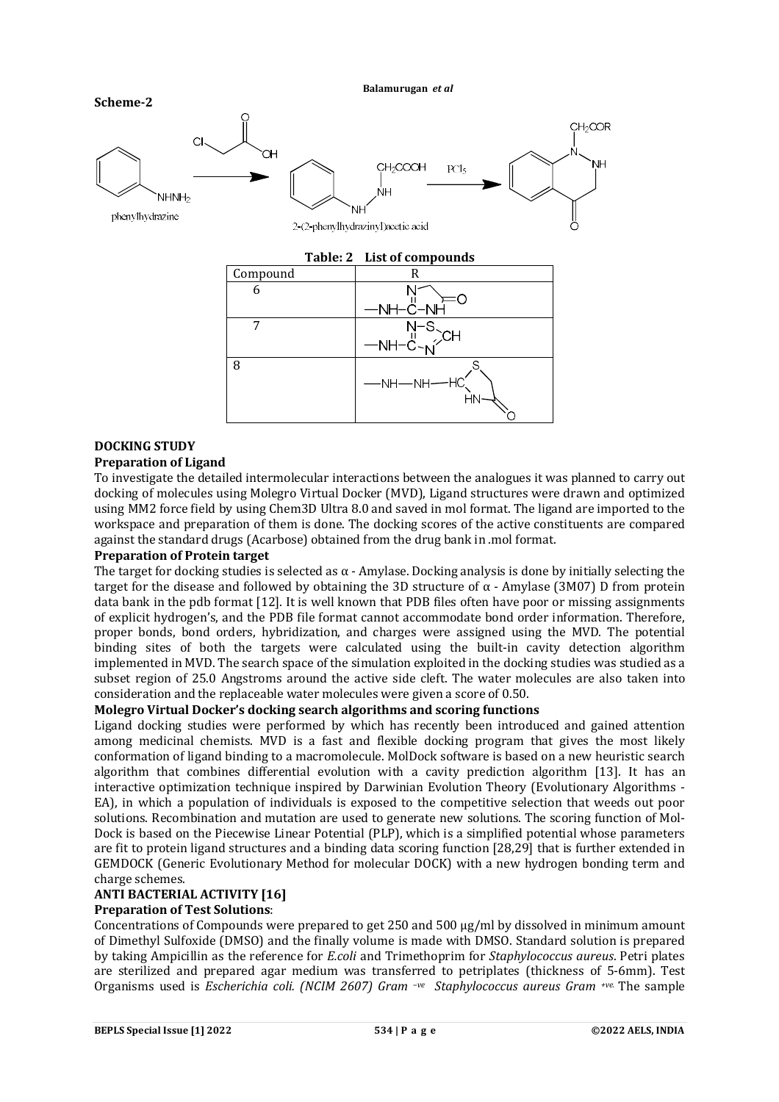

# **DOCKING STUDY**

## **Preparation of Ligand**

To investigate the detailed intermolecular interactions between the analogues it was planned to carry out docking of molecules using Molegro Virtual Docker (MVD), Ligand structures were drawn and optimized using MM2 force field by using Chem3D Ultra 8.0 and saved in mol format. The ligand are imported to the workspace and preparation of them is done. The docking scores of the active constituents are compared against the standard drugs (Acarbose) obtained from the drug bank in .mol format.

## **Preparation of Protein target**

The target for docking studies is selected as  $\alpha$  - Amylase. Docking analysis is done by initially selecting the target for the disease and followed by obtaining the 3D structure of α - Amylase (3M07) D from protein data bank in the pdb format [12]. It is well known that PDB files often have poor or missing assignments of explicit hydrogen's, and the PDB file format cannot accommodate bond order information. Therefore, proper bonds, bond orders, hybridization, and charges were assigned using the MVD. The potential binding sites of both the targets were calculated using the built-in cavity detection algorithm implemented in MVD. The search space of the simulation exploited in the docking studies was studied as a subset region of 25.0 Angstroms around the active side cleft. The water molecules are also taken into consideration and the replaceable water molecules were given a score of 0.50.

## **Molegro Virtual Docker's docking search algorithms and scoring functions**

Ligand docking studies were performed by which has recently been introduced and gained attention among medicinal chemists. MVD is a fast and flexible docking program that gives the most likely conformation of ligand binding to a macromolecule. MolDock software is based on a new heuristic search algorithm that combines differential evolution with a cavity prediction algorithm [13]. It has an interactive optimization technique inspired by Darwinian Evolution Theory (Evolutionary Algorithms - EA), in which a population of individuals is exposed to the competitive selection that weeds out poor solutions. Recombination and mutation are used to generate new solutions. The scoring function of Mol-Dock is based on the Piecewise Linear Potential (PLP), which is a simplified potential whose parameters are fit to protein ligand structures and a binding data scoring function [28,29] that is further extended in GEMDOCK (Generic Evolutionary Method for molecular DOCK) with a new hydrogen bonding term and charge schemes.

# **ANTI BACTERIAL ACTIVITY [16]**

# **Preparation of Test Solutions**:

Concentrations of Compounds were prepared to get 250 and 500 μg/ml by dissolved in minimum amount of Dimethyl Sulfoxide (DMSO) and the finally volume is made with DMSO. Standard solution is prepared by taking Ampicillin as the reference for *E.coli* and Trimethoprim for *Staphylococcus aureus*. Petri plates are sterilized and prepared agar medium was transferred to petriplates (thickness of 5-6mm). Test Organisms used is *Escherichia coli. (NCIM 2607) Gram –ve Staphylococcus aureus Gram +ve.* The sample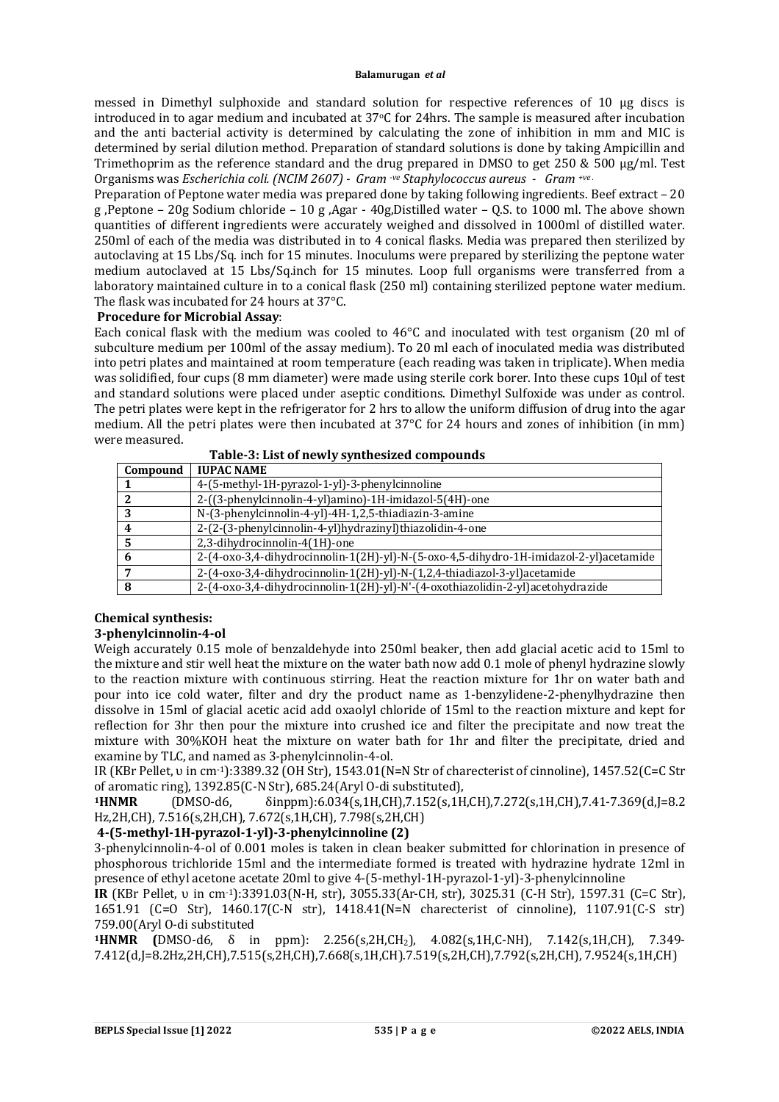messed in Dimethyl sulphoxide and standard solution for respective references of 10 μg discs is introduced in to agar medium and incubated at 37oC for 24hrs. The sample is measured after incubation and the anti bacterial activity is determined by calculating the zone of inhibition in mm and MIC is determined by serial dilution method. Preparation of standard solutions is done by taking Ampicillin and Trimethoprim as the reference standard and the drug prepared in DMSO to get 250 & 500 μg/ml. Test Organisms was *Escherichia coli. (NCIM 2607) - Gram -ve Staphylococcus aureus - Gram +ve .*

Preparation of Peptone water media was prepared done by taking following ingredients. Beef extract – 20 g ,Peptone – 20g Sodium chloride – 10 g ,Agar - 40g,Distilled water – Q.S. to 1000 ml. The above shown quantities of different ingredients were accurately weighed and dissolved in 1000ml of distilled water. 250ml of each of the media was distributed in to 4 conical flasks. Media was prepared then sterilized by autoclaving at 15 Lbs/Sq. inch for 15 minutes. Inoculums were prepared by sterilizing the peptone water medium autoclaved at 15 Lbs/Sq.inch for 15 minutes. Loop full organisms were transferred from a laboratory maintained culture in to a conical flask (250 ml) containing sterilized peptone water medium. The flask was incubated for 24 hours at 37°C.

#### **Procedure for Microbial Assay**:

Each conical flask with the medium was cooled to 46°C and inoculated with test organism (20 ml of subculture medium per 100ml of the assay medium). To 20 ml each of inoculated media was distributed into petri plates and maintained at room temperature (each reading was taken in triplicate). When media was solidified, four cups (8 mm diameter) were made using sterile cork borer. Into these cups 10µl of test and standard solutions were placed under aseptic conditions. Dimethyl Sulfoxide was under as control. The petri plates were kept in the refrigerator for 2 hrs to allow the uniform diffusion of drug into the agar medium. All the petri plates were then incubated at 37°C for 24 hours and zones of inhibition (in mm) were measured.

| Table-5: List of hewiv synthesized compounds |                                                                                        |  |  |
|----------------------------------------------|----------------------------------------------------------------------------------------|--|--|
| Compound                                     | <b>IUPAC NAME</b>                                                                      |  |  |
|                                              | 4-(5-methyl-1H-pyrazol-1-yl)-3-phenylcinnoline                                         |  |  |
|                                              | 2-((3-phenylcinnolin-4-yl)amino)-1H-imidazol-5(4H)-one                                 |  |  |
| 3                                            | N-(3-phenylcinnolin-4-yl)-4H-1,2,5-thiadiazin-3-amine                                  |  |  |
|                                              | 2-(2-(3-phenylcinnolin-4-yl)hydrazinyl)thiazolidin-4-one                               |  |  |
| 5                                            | 2.3-dihydrocinnolin-4(1H)-one                                                          |  |  |
| 6                                            | 2-(4-oxo-3,4-dihydrocinnolin-1(2H)-yl)-N-(5-oxo-4,5-dihydro-1H-imidazol-2-yl)acetamide |  |  |
|                                              | 2-(4-oxo-3,4-dihydrocinnolin-1(2H)-yl)-N-(1,2,4-thiadiazol-3-yl)acetamide              |  |  |
| 8                                            | 2-(4-oxo-3,4-dihydrocinnolin-1(2H)-yl)-N'-(4-oxothiazolidin-2-yl)acetohydrazide        |  |  |

## **Table-3: List of newly synthesized compounds**

# **Chemical synthesis:**

## **3-phenylcinnolin-4-ol**

Weigh accurately 0.15 mole of benzaldehyde into 250ml beaker, then add glacial acetic acid to 15ml to the mixture and stir well heat the mixture on the water bath now add 0.1 mole of phenyl hydrazine slowly to the reaction mixture with continuous stirring. Heat the reaction mixture for 1hr on water bath and pour into ice cold water, filter and dry the product name as 1-benzylidene-2-phenylhydrazine then dissolve in 15ml of glacial acetic acid add oxaolyl chloride of 15ml to the reaction mixture and kept for reflection for 3hr then pour the mixture into crushed ice and filter the precipitate and now treat the mixture with 30%KOH heat the mixture on water bath for 1hr and filter the precipitate, dried and examine by TLC, and named as 3-phenylcinnolin-4-ol.

IR (KBr Pellet, υ in cm-1):3389.32 (OH Str), 1543.01(N=N Str of charecterist of cinnoline), 1457.52(C=C Str of aromatic ring), 1392.85(C-N Str), 685.24(Aryl O-di substituted),

**<sup>1</sup>HNMR** (DMSO-d6, δinppm):6.034(s,1H,CH),7.152(s,1H,CH),7.272(s,1H,CH),7.41-7.369(d,J=8.2 Hz,2H,CH), 7.516(s,2H,CH), 7.672(s,1H,CH), 7.798(s,2H,CH)

## **4-(5-methyl-1H-pyrazol-1-yl)-3-phenylcinnoline (2)**

3-phenylcinnolin-4-ol of 0.001 moles is taken in clean beaker submitted for chlorination in presence of phosphorous trichloride 15ml and the intermediate formed is treated with hydrazine hydrate 12ml in presence of ethyl acetone acetate 20ml to give 4-(5-methyl-1H-pyrazol-1-yl)-3-phenylcinnoline

**IR** (KBr Pellet, υ in cm-1):3391.03(N-H, str), 3055.33(Ar-CH, str), 3025.31 (C-H Str), 1597.31 (C=C Str), 1651.91 (C=O Str), 1460.17(C-N str), 1418.41(N=N charecterist of cinnoline), 1107.91(C-S str) 759.00(Aryl O-di substituted

**<sup>1</sup>HNMR (**DMSO-d6, δ in ppm): 2.256(s,2H,CH2), 4.082(s,1H,C-NH), 7.142(s,1H,CH), 7.349- 7.412(d,J=8.2Hz,2H,CH),7.515(s,2H,CH),7.668(s,1H,CH).7.519(s,2H,CH),7.792(s,2H,CH), 7.9524(s,1H,CH)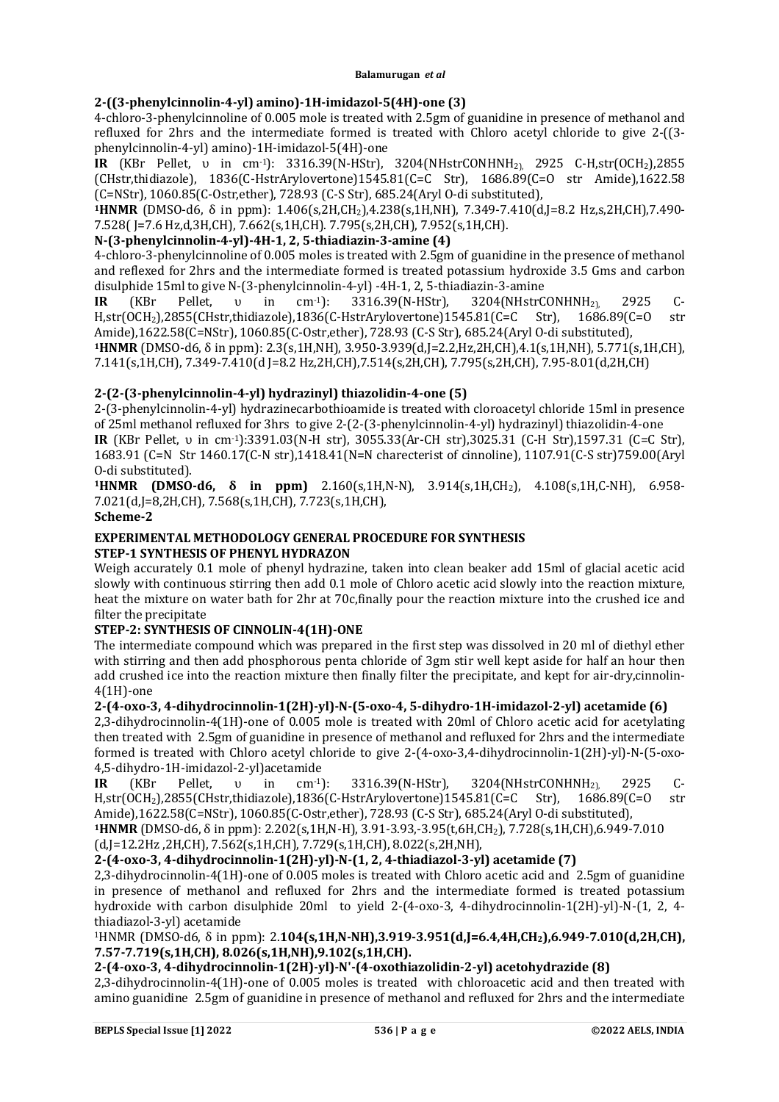## **2-((3-phenylcinnolin-4-yl) amino)-1H-imidazol-5(4H)-one (3)**

4-chloro-3-phenylcinnoline of 0.005 mole is treated with 2.5gm of guanidine in presence of methanol and refluxed for 2hrs and the intermediate formed is treated with Chloro acetyl chloride to give 2-((3 phenylcinnolin-4-yl) amino)-1H-imidazol-5(4H)-one

**IR** (KBr Pellet, υ in cm<sup>-1</sup>): 3316.39(N-HStr), 3204(NHstrCONHNH<sub>2)</sub>, 2925 C-H,str(OCH<sub>2</sub>),2855 (CHstr,thidiazole), 1836(C-HstrArylovertone)1545.81(C=C Str), 1686.89(C=O str Amide),1622.58 (C=NStr), 1060.85(C-Ostr,ether), 728.93 (C-S Str), 685.24(Aryl O-di substituted),

**<sup>1</sup>HNMR** (DMSO-d6, δ in ppm): 1.406(s,2H,CH2),4.238(s,1H,NH), 7.349-7.410(d,J=8.2 Hz,s,2H,CH),7.490- 7.528( J=7.6 Hz,d,3H,CH), 7.662(s,1H,CH). 7.795(s,2H,CH), 7.952(s,1H,CH).

## **N-(3-phenylcinnolin-4-yl)-4H-1, 2, 5-thiadiazin-3-amine (4)**

4-chloro-3-phenylcinnoline of 0.005 moles is treated with 2.5gm of guanidine in the presence of methanol and reflexed for 2hrs and the intermediate formed is treated potassium hydroxide 3.5 Gms and carbon disulphide 15ml to give N-(3-phenylcinnolin-4-yl) -4H-1, 2, 5-thiadiazin-3-amine

**IR** (KBr Pellet, ν in cm<sup>-1</sup>): 3316.39(N-HStr), 3204(NHstrCONHNH<sub>2</sub>) 2925 C-H,str(OCH2),2855(CHstr,thidiazole),1836(C-HstrArylovertone)1545.81(C=C Str), 1686.89(C=O str Amide),1622.58(C=NStr), 1060.85(C-Ostr,ether), 728.93 (C-S Str), 685.24(Aryl O-di substituted),

**<sup>1</sup>HNMR** (DMSO-d6, δ in ppm): 2.3(s,1H,NH), 3.950-3.939(d,J=2.2,Hz,2H,CH),4.1(s,1H,NH), 5.771(s,1H,CH), 7.141(s,1H,CH), 7.349-7.410(d J=8.2 Hz,2H,CH), 7.514(s,2H,CH), 7.795(s,2H,CH), 7.95-8.01(d,2H,CH)

## **2-(2-(3-phenylcinnolin-4-yl) hydrazinyl) thiazolidin-4-one (5)**

2-(3-phenylcinnolin-4-yl) hydrazinecarbothioamide is treated with cloroacetyl chloride 15ml in presence of 25ml methanol refluxed for 3hrs to give 2-(2-(3-phenylcinnolin-4-yl) hydrazinyl) thiazolidin-4-one **IR** (KBr Pellet, υ in cm-1):3391.03(N-H str), 3055.33(Ar-CH str),3025.31 (C-H Str),1597.31 (C=C Str),

1683.91 (C=N Str 1460.17(C-N str),1418.41(N=N charecterist of cinnoline), 1107.91(C-S str)759.00(Aryl O-di substituted).

**<sup>1</sup>HNMR (DMSO-d6, δ in ppm)** 2.160(s,1H,N-N), 3.914(s,1H,CH2), 4.108(s,1H,C-NH), 6.958- 7.021(d,J=8,2H,CH), 7.568(s,1H,CH), 7.723(s,1H,CH),

#### **Scheme-2**

#### **EXPERIMENTAL METHODOLOGY GENERAL PROCEDURE FOR SYNTHESIS STEP-1 SYNTHESIS OF PHENYL HYDRAZON**

Weigh accurately 0.1 mole of phenyl hydrazine, taken into clean beaker add 15ml of glacial acetic acid slowly with continuous stirring then add 0.1 mole of Chloro acetic acid slowly into the reaction mixture, heat the mixture on water bath for 2hr at 70c,finally pour the reaction mixture into the crushed ice and filter the precipitate

## **STEP-2: SYNTHESIS OF CINNOLIN-4(1H)-ONE**

The intermediate compound which was prepared in the first step was dissolved in 20 ml of diethyl ether with stirring and then add phosphorous penta chloride of 3gm stir well kept aside for half an hour then add crushed ice into the reaction mixture then finally filter the precipitate, and kept for air-dry,cinnolin-4(1H)-one

## **2-(4-oxo-3, 4-dihydrocinnolin-1(2H)-yl)-N-(5-oxo-4, 5-dihydro-1H-imidazol-2-yl) acetamide (6)**

2,3-dihydrocinnolin-4(1H)-one of 0.005 mole is treated with 20ml of Chloro acetic acid for acetylating then treated with 2.5gm of guanidine in presence of methanol and refluxed for 2hrs and the intermediate formed is treated with Chloro acetyl chloride to give 2-(4-oxo-3,4-dihydrocinnolin-1(2H)-yl)-N-(5-oxo-4,5-dihydro-1H-imidazol-2-yl)acetamide

**IR** (KBr Pellet, ν in cm<sup>-1</sup>): 3316.39(N-HStr), 3204(NHstrCONHNH<sub>2</sub>) 2925 C-H,str(OCH2),2855(CHstr,thidiazole),1836(C-HstrArylovertone)1545.81(C=C Str), 1686.89(C=O str Amide),1622.58(C=NStr), 1060.85(C-Ostr,ether), 728.93 (C-S Str), 685.24(Aryl O-di substituted),

**<sup>1</sup>HNMR** (DMSO-d6, δ in ppm): 2.202(s,1H,N-H), 3.91-3.93,-3.95(t,6H,CH2), 7.728(s,1H,CH),6.949-7.010

(d,J=12.2Hz ,2H,CH), 7.562(s,1H,CH), 7.729(s,1H,CH), 8.022(s,2H,NH),

# **2-(4-oxo-3, 4-dihydrocinnolin-1(2H)-yl)-N-(1, 2, 4-thiadiazol-3-yl) acetamide (7)**

2,3-dihydrocinnolin-4(1H)-one of 0.005 moles is treated with Chloro acetic acid and 2.5gm of guanidine in presence of methanol and refluxed for 2hrs and the intermediate formed is treated potassium hydroxide with carbon disulphide 20ml to yield 2-(4-oxo-3, 4-dihydrocinnolin-1(2H)-yl)-N-(1, 2, 4 thiadiazol-3-yl) acetamide

## <sup>1</sup>HNMR (DMSO-d6, δ in ppm): 2.**104(s,1H,N-NH),3.919-3.951(d,J=6.4,4H,CH2),6.949-7.010(d,2H,CH), 7.57-7.719(s,1H,CH), 8.026(s,1H,NH),9.102(s,1H,CH).**

## **2-(4-oxo-3, 4-dihydrocinnolin-1(2H)-yl)-N'-(4-oxothiazolidin-2-yl) acetohydrazide (8)**

2,3-dihydrocinnolin-4(1H)-one of 0.005 moles is treated with chloroacetic acid and then treated with amino guanidine 2.5gm of guanidine in presence of methanol and refluxed for 2hrs and the intermediate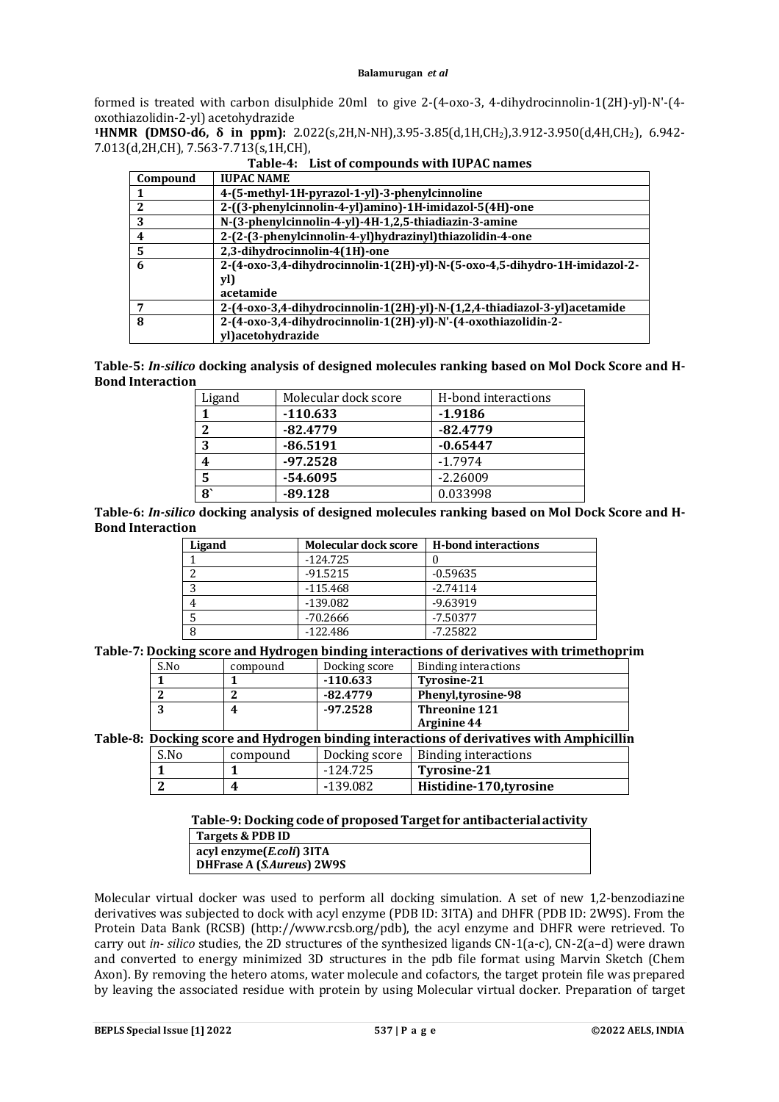formed is treated with carbon disulphide 20ml to give 2-(4-oxo-3, 4-dihydrocinnolin-1(2H)-yl)-N'-(4 oxothiazolidin-2-yl) acetohydrazide

**<sup>1</sup>HNMR (DMSO-d6, δ in ppm):** 2.022(s,2H,N-NH),3.95-3.85(d,1H,CH2),3.912-3.950(d,4H,CH2), 6.942- 7.013(d,2H,CH), 7.563-7.713(s,1H,CH),

| Compound | <b>IUPAC NAME</b>                                                          |
|----------|----------------------------------------------------------------------------|
| -1       | 4-(5-methyl-1H-pyrazol-1-yl)-3-phenylcinnoline                             |
| 2        | 2-((3-phenylcinnolin-4-yl)amino)-1H-imidazol-5(4H)-one                     |
| 3        | N-(3-phenylcinnolin-4-yl)-4H-1,2,5-thiadiazin-3-amine                      |
| 4        | 2-(2-(3-phenylcinnolin-4-yl)hydrazinyl)thiazolidin-4-one                   |
| 5        | 2,3-dihydrocinnolin-4(1H)-one                                              |
| 6        | 2-(4-oxo-3,4-dihydrocinnolin-1(2H)-yl)-N-(5-oxo-4,5-dihydro-1H-imidazol-2- |
|          | yl)                                                                        |
|          | acetamide                                                                  |
| 7        | 2-(4-oxo-3,4-dihydrocinnolin-1(2H)-yl)-N-(1,2,4-thiadiazol-3-yl)acetamide  |
| 8        | 2-(4-oxo-3,4-dihydrocinnolin-1(2H)-yl)-N'-(4-oxothiazolidin-2-             |
|          | yl)acetohydrazide                                                          |

**Table-4: List of compounds with IUPAC names**

**Table-5:** *In-silico* **docking analysis of designed molecules ranking based on Mol Dock Score and H-Bond Interaction**

| Ligand                | Molecular dock score | H-bond interactions |  |
|-----------------------|----------------------|---------------------|--|
|                       | $-110.633$           | $-1.9186$           |  |
| າ                     | $-82.4779$           | $-82.4779$          |  |
| 3                     | $-86.5191$           | $-0.65447$          |  |
| 4                     | $-97.2528$           | $-1.7974$           |  |
| 5                     | -54.6095             | $-2.26009$          |  |
| $\mathbf{8}^{\prime}$ | $-89.128$            | 0.033998            |  |

**Table-6:** *In-silico* **docking analysis of designed molecules ranking based on Mol Dock Score and H-Bond Interaction**

| Ligand | <b>Molecular dock score</b> | <b>H-bond interactions</b> |
|--------|-----------------------------|----------------------------|
|        | $-124.725$                  |                            |
| ົ      | $-91.5215$                  | $-0.59635$                 |
| റ      | $-115.468$                  | $-2.74114$                 |
|        | $-139.082$                  | $-9.63919$                 |
|        | -70.2666                    | $-7.50377$                 |
|        | $-122.486$                  | $-7.25822$                 |

**Table-7: Docking score and Hydrogen binding interactions of derivatives with trimethoprim**

|                                                                                          | S.No | compound | Docking score | <b>Binding interactions</b> |  |
|------------------------------------------------------------------------------------------|------|----------|---------------|-----------------------------|--|
|                                                                                          |      |          | $-110.633$    | <b>Tyrosine-21</b>          |  |
|                                                                                          |      |          | $-82.4779$    | Phenyl, tyrosine-98         |  |
|                                                                                          | 3    |          | $-97.2528$    | <b>Threonine 121</b>        |  |
|                                                                                          |      |          |               | Arginine 44                 |  |
| Table-8: Docking score and Hydrogen binding interactions of derivatives with Amphicillin |      |          |               |                             |  |
|                                                                                          | S.No | compound | Docking score | <b>Binding interactions</b> |  |
|                                                                                          |      |          | $-124.725$    | <b>Tyrosine-21</b>          |  |
|                                                                                          |      |          | $-139.082$    | Histidine-170, tyrosine     |  |

| Table-9: Docking code of proposed Target for antibacterial activity |
|---------------------------------------------------------------------|
| Targets & PDB ID                                                    |
| acyl enzyme( <i>E.coli</i> ) 3ITA                                   |

**DHFrase A (***S.Aureus***) 2W9S**

Molecular virtual docker was used to perform all docking simulation. A set of new 1,2-benzodiazine derivatives was subjected to dock with acyl enzyme (PDB ID: 3ITA) and DHFR (PDB ID: 2W9S). From the Protein Data Bank (RCSB) [\(http://www.rcsb.org/pdb\),](http://www.rcsb.org/pdb),) the acyl enzyme and DHFR were retrieved. To carry out *in- silico* studies, the 2D structures of the synthesized ligands CN-1(a-c), CN-2(a–d) were drawn and converted to energy minimized 3D structures in the pdb file format using Marvin Sketch (Chem Axon). By removing the hetero atoms, water molecule and cofactors, the target protein file was prepared by leaving the associated residue with protein by using Molecular virtual docker. Preparation of target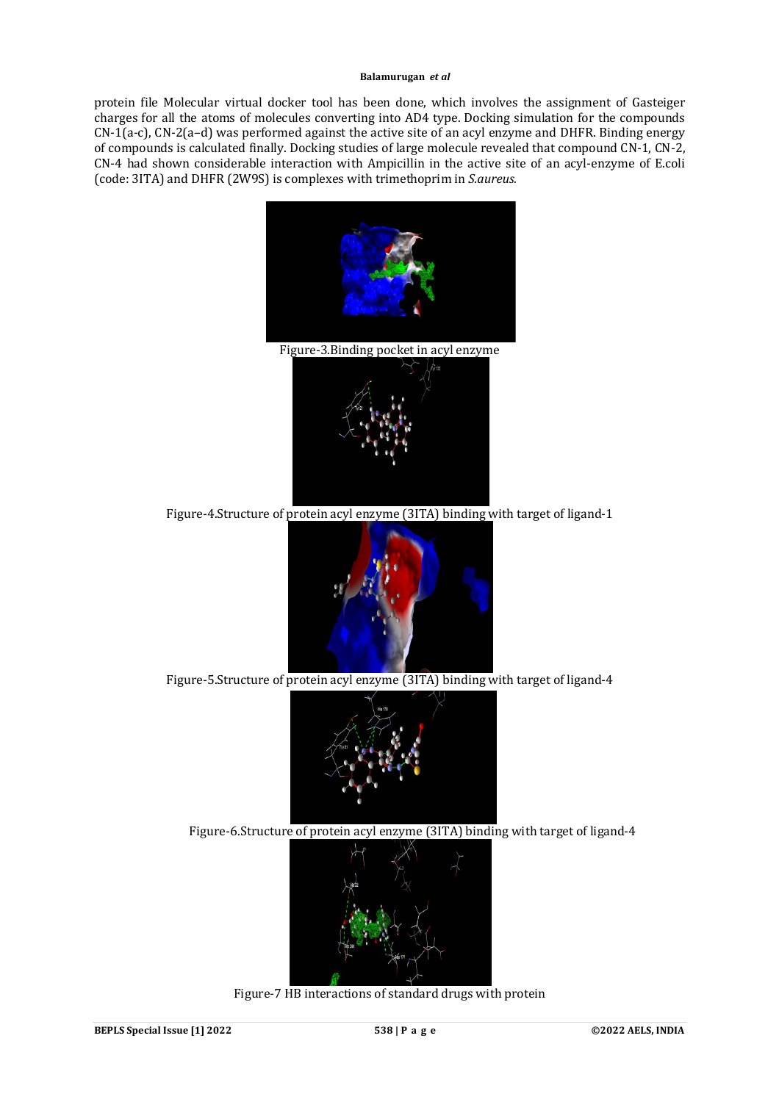protein file Molecular virtual docker tool has been done, which involves the assignment of Gasteiger charges for all the atoms of molecules converting into AD4 type. Docking simulation for the compounds CN-1(a-c), CN-2(a–d) was performed against the active site of an acyl enzyme and DHFR. Binding energy of compounds is calculated finally. Docking studies of large molecule revealed that compound CN-1, CN-2, CN-4 had shown considerable interaction with Ampicillin in the active site of an acyl-enzyme of E.coli (code: 3ITA) and DHFR (2W9S) is complexes with trimethoprim in *S.aureus.*



Figure-5.Structure of protein acyl enzyme (3ITA) binding with target of ligand-4



Figure-6.Structure of protein acyl enzyme (3ITA) binding with target of ligand-4



Figure-7 HB interactions of standard drugs with protein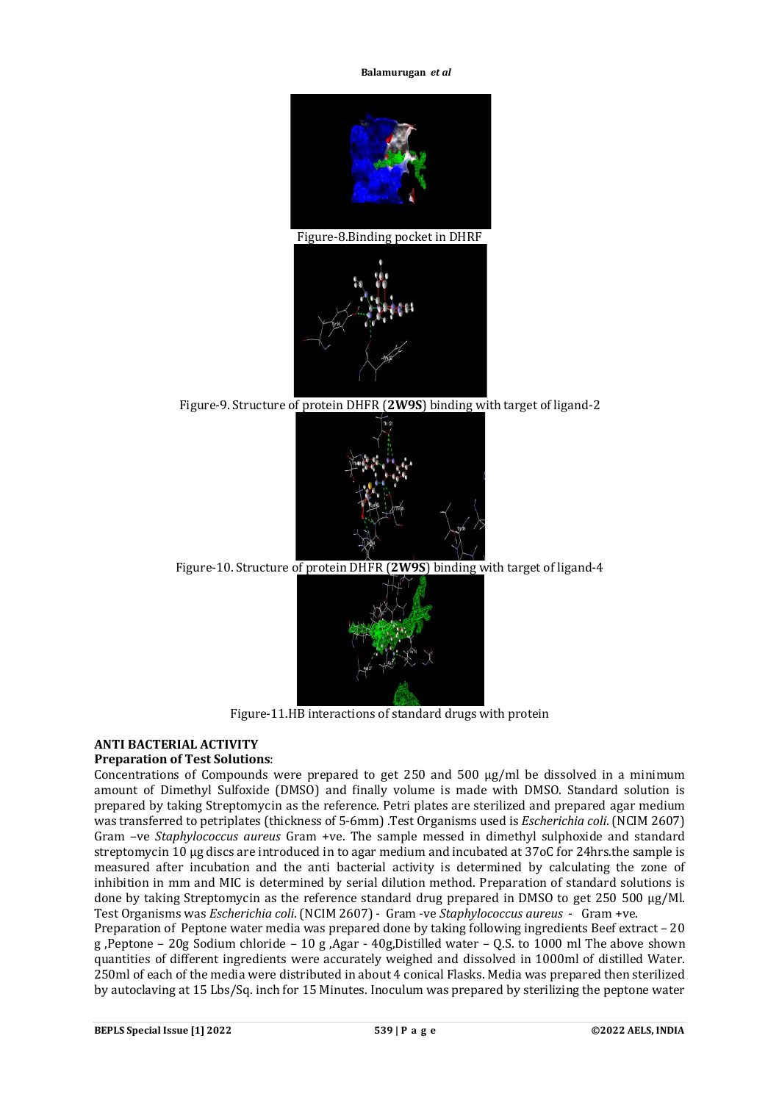

Figure-9. Structure of protein DHFR (**2W9S**) binding with target of ligand-2



Figure-10. Structure of protein DHFR (**2W9S**) binding with target of ligand-4



Figure-11.HB interactions of standard drugs with protein

# **ANTI BACTERIAL ACTIVITY**

## **Preparation of Test Solutions**:

Concentrations of Compounds were prepared to get 250 and 500 μg/ml be dissolved in a minimum amount of Dimethyl Sulfoxide (DMSO) and finally volume is made with DMSO. Standard solution is prepared by taking Streptomycin as the reference. Petri plates are sterilized and prepared agar medium was transferred to petriplates (thickness of 5-6mm) .Test Organisms used is *Escherichia coli*. (NCIM 2607) Gram –ve *Staphylococcus aureus* Gram +ve. The sample messed in dimethyl sulphoxide and standard streptomycin 10 μg discs are introduced in to agar medium and incubated at 37oC for 24hrs.the sample is measured after incubation and the anti bacterial activity is determined by calculating the zone of inhibition in mm and MIC is determined by serial dilution method. Preparation of standard solutions is done by taking Streptomycin as the reference standard drug prepared in DMSO to get 250 500 μg/Ml. Test Organisms was *Escherichia coli*. (NCIM 2607) - Gram -ve *Staphylococcus aureus* - Gram +ve.

Preparation of Peptone water media was prepared done by taking following ingredients Beef extract – 20 g ,Peptone – 20g Sodium chloride – 10 g ,Agar - 40g,Distilled water – Q.S. to 1000 ml The above shown quantities of different ingredients were accurately weighed and dissolved in 1000ml of distilled Water. 250ml of each of the media were distributed in about 4 conical Flasks. Media was prepared then sterilized by autoclaving at 15 Lbs/Sq. inch for 15 Minutes. Inoculum was prepared by sterilizing the peptone water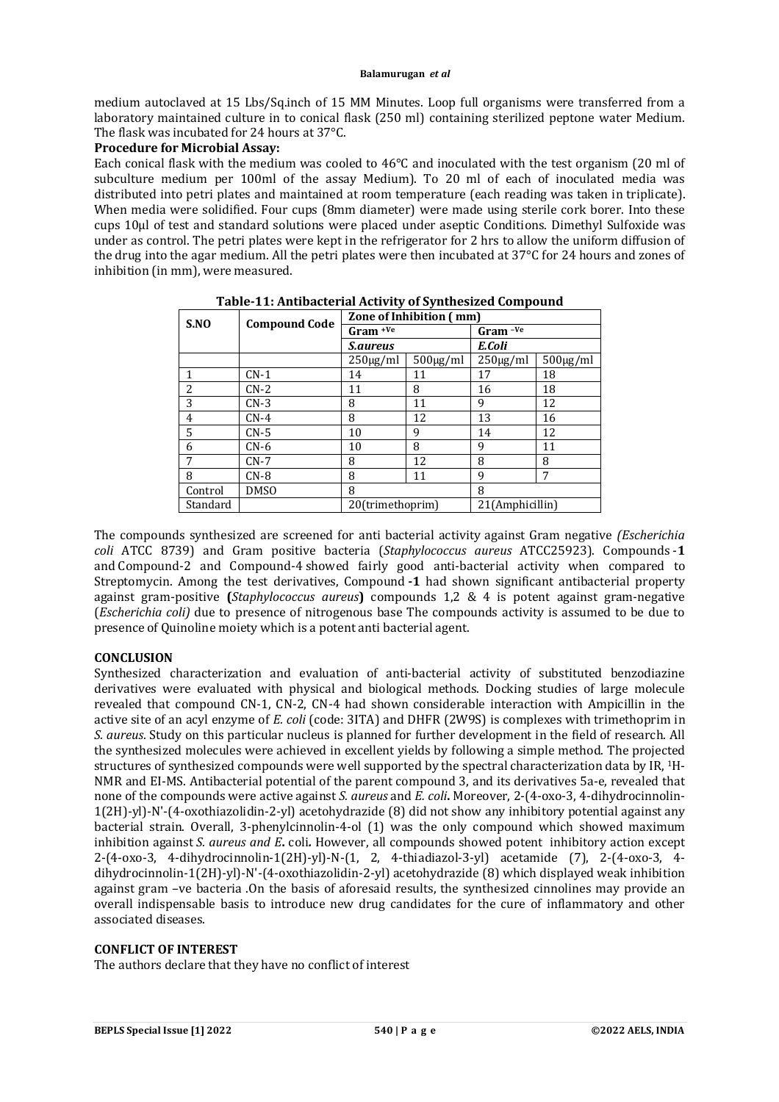medium autoclaved at 15 Lbs/Sq.inch of 15 MM Minutes. Loop full organisms were transferred from a laboratory maintained culture in to conical flask (250 ml) containing sterilized peptone water Medium. The flask was incubated for 24 hours at 37°C.

#### **Procedure for Microbial Assay:**

Each conical flask with the medium was cooled to 46°C and inoculated with the test organism (20 ml of subculture medium per 100ml of the assay Medium). To 20 ml of each of inoculated media was distributed into petri plates and maintained at room temperature (each reading was taken in triplicate). When media were solidified. Four cups (8mm diameter) were made using sterile cork borer. Into these cups 10µl of test and standard solutions were placed under aseptic Conditions. Dimethyl Sulfoxide was under as control. The petri plates were kept in the refrigerator for 2 hrs to allow the uniform diffusion of the drug into the agar medium. All the petri plates were then incubated at 37°C for 24 hours and zones of inhibition (in mm), were measured.

| S.NO                     |                      | Zone of Inhibition (mm) |                |                 |               |
|--------------------------|----------------------|-------------------------|----------------|-----------------|---------------|
|                          | <b>Compound Code</b> | $Gram + Ve$             |                | $Gram -ve$      |               |
|                          |                      | <i>S.aureus</i>         |                | E.Coli          |               |
|                          |                      | $250\mu g/ml$           | $500 \mu g/ml$ | $250 \mu g/ml$  | $500\mu g/ml$ |
|                          | $CN-1$               | 14                      | 11             | 17              | 18            |
| $\overline{\mathcal{L}}$ | $CN-2$               | 11                      | 8              | 16              | 18            |
| 3                        | $CN-3$               | 8                       | 11             | 9               | 12            |
| 4                        | $CN-4$               | 8                       | 12             | 13              | 16            |
| 5                        | CN-5                 | 10                      | 9              | 14              | 12            |
| 6                        | CN-6                 | 10                      | 8              | 9               | 11            |
| 7                        | $CN-7$               | 8                       | 12             | 8               | 8             |
| 8                        | $CN-8$               | 8                       | 11             | 9               | 7             |
| Control                  | <b>DMSO</b>          | 8                       |                | 8               |               |
| Standard                 |                      | 20(trimethoprim)        |                | 21(Amphicillin) |               |

The compounds synthesized are screened for anti bacterial activity against Gram negative *(Escherichia coli* ATCC 8739) and Gram positive bacteria (*Staphylococcus aureus* ATCC25923). Compounds -**1** and Compound-2 and Compound-4 showed fairly good anti-bacterial activity when compared to Streptomycin. Among the test derivatives, Compound **-1** had shown significant antibacterial property against gram-positive **(***Staphylococcus aureus***)** compounds 1,2 & 4 is potent against gram-negative (*Escherichia coli)* due to presence of nitrogenous base The compounds activity is assumed to be due to presence of Quinoline moiety which is a potent anti bacterial agent.

## **CONCLUSION**

Synthesized characterization and evaluation of anti-bacterial activity of substituted benzodiazine derivatives were evaluated with physical and biological methods. Docking studies of large molecule revealed that compound CN-1, CN-2, CN-4 had shown considerable interaction with Ampicillin in the active site of an acyl enzyme of *E. coli* (code: 3ITA) and DHFR (2W9S) is complexes with trimethoprim in *S. aureus*. Study on this particular nucleus is planned for further development in the field of research. All the synthesized molecules were achieved in excellent yields by following a simple method. The projected structures of synthesized compounds were well supported by the spectral characterization data by IR, <sup>1</sup>H-NMR and EI-MS. Antibacterial potential of the parent compound 3, and its derivatives 5a-e, revealed that none of the compounds were active against *S. aureus* and *E. coli***.** Moreover, 2-(4-oxo-3, 4-dihydrocinnolin-1(2H)-yl)-N'-(4-oxothiazolidin-2-yl) acetohydrazide (8) did not show any inhibitory potential against any bacterial strain. Overall, 3-phenylcinnolin-4-ol (1) was the only compound which showed maximum inhibition against *S. aureus and E***.** coli*.* However, all compounds showed potent inhibitory action except 2-(4-oxo-3, 4-dihydrocinnolin-1(2H)-yl)-N-(1, 2, 4-thiadiazol-3-yl) acetamide (7), 2-(4-oxo-3, 4 dihydrocinnolin-1(2H)-yl)-N'-(4-oxothiazolidin-2-yl) acetohydrazide (8) which displayed weak inhibition against gram –ve bacteria .On the basis of aforesaid results, the synthesized cinnolines may provide an overall indispensable basis to introduce new drug candidates for the cure of inflammatory and other associated diseases.

## **CONFLICT OF INTEREST**

The authors declare that they have no conflict of interest